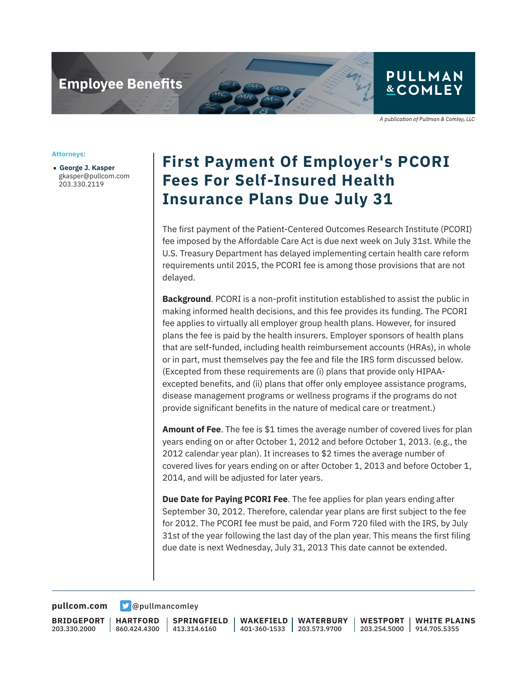## **Employee Benefits**

## **&COMLEY**

**PULLMAN** 

A publication of Pullman & Comley, LLC

**Attorneys:**

● **George J. Kasper** gkasper@pullcom.com 203.330.2119

## **First Payment Of Employer's PCORI Fees For Self-Insured Health Insurance Plans Due July 31**

The first payment of the Patient-Centered Outcomes Research Institute (PCORI) fee imposed by the Affordable Care Act is due next week on July 31st. While the U.S. Treasury Department has delayed implementing certain health care reform requirements until 2015, the PCORI fee is among those provisions that are not delayed.

**Background**. PCORI is a non-profit institution established to assist the public in making informed health decisions, and this fee provides its funding. The PCORI fee applies to virtually all employer group health plans. However, for insured plans the fee is paid by the health insurers. Employer sponsors of health plans that are self-funded, including health reimbursement accounts (HRAs), in whole or in part, must themselves pay the fee and file the IRS form discussed below. (Excepted from these requirements are (i) plans that provide only HIPAAexcepted benefits, and (ii) plans that offer only employee assistance programs, disease management programs or wellness programs if the programs do not provide significant benefits in the nature of medical care or treatment.)

**Amount of Fee**. The fee is \$1 times the average number of covered lives for plan years ending on or after October 1, 2012 and before October 1, 2013. (e.g., the 2012 calendar year plan). It increases to \$2 times the average number of covered lives for years ending on or after October 1, 2013 and before October 1, 2014, and will be adjusted for later years.

**Due Date for Paying PCORI Fee**. The fee applies for plan years ending after September 30, 2012. Therefore, calendar year plans are first subject to the fee for 2012. The PCORI fee must be paid, and Form 720 filed with the IRS, by July 31st of the year following the last day of the plan year. This means the first filing due date is next Wednesday, July 31, 2013 This date cannot be extended.

**[pullcom.com](https://www.pullcom.com) g** [@pullmancomley](https://twitter.com/PullmanComley)

**BRIDGEPORT** 203.330.2000

**HARTFORD** 860.424.4300 413.314.6160

**SPRINGFIELD**

**WAKEFIELD** 401-360-1533 **WATERBURY** 203.573.9700 **WESTPORT**

203.254.5000 914.705.5355 **WHITE PLAINS**